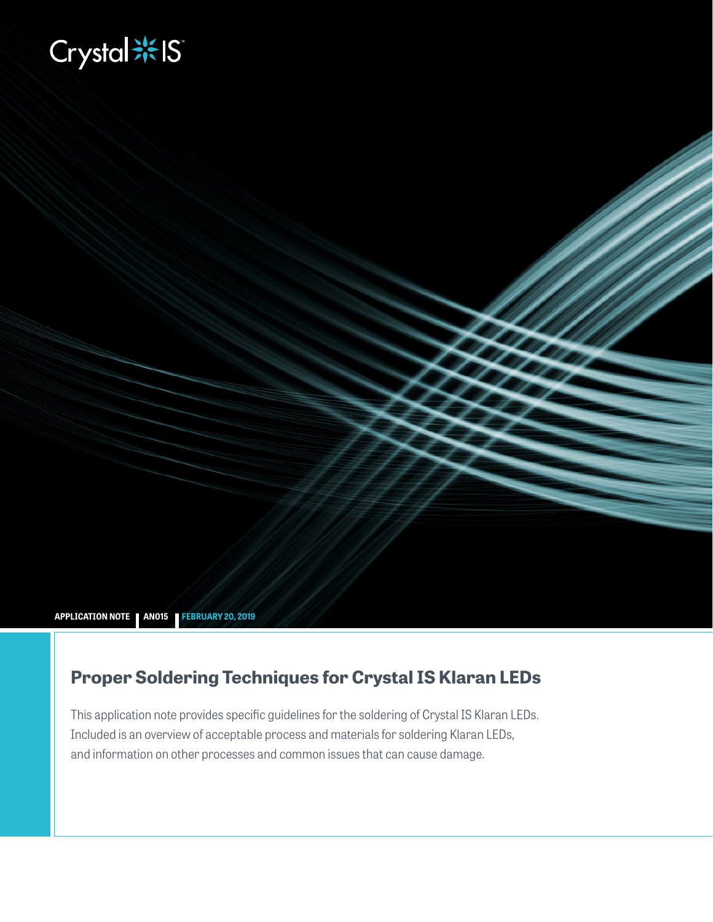# **Biography**

**APPLICATION NOTE AN015 FEBRUARY 20, 2019**

# **Proper Soldering Techniques for Crystal IS Klaran LEDs**

This application note provides specific guidelines for the soldering of Crystal IS Klaran LEDs. Included is an overview of acceptable process and materials for soldering Klaran LEDs, and information on other processes and common issues that can cause damage.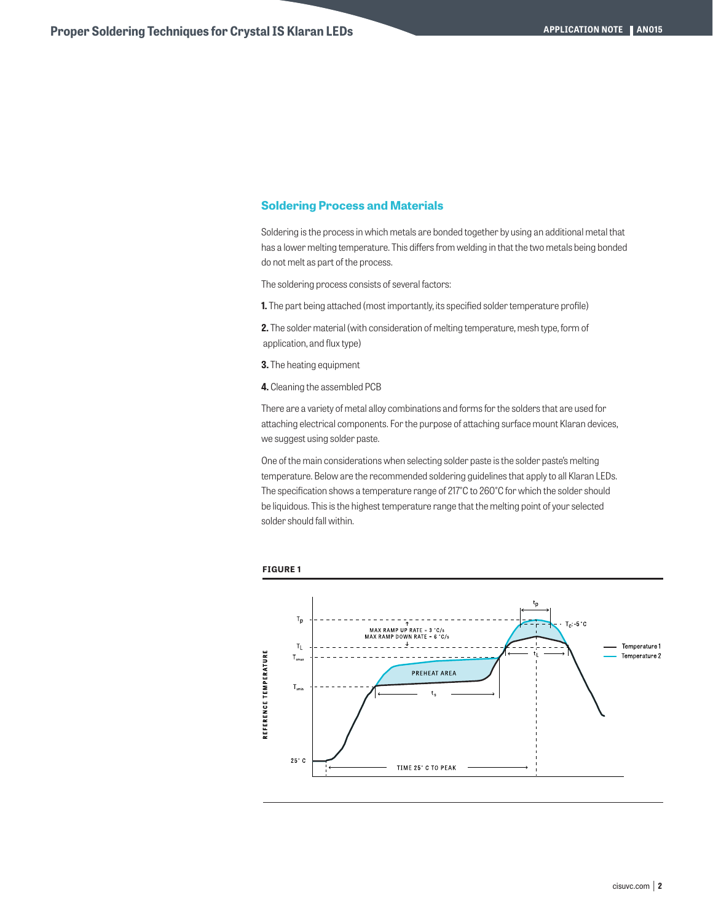# **Soldering Process and Materials**

Soldering is the process in which metals are bonded together by using an additional metal that has a lower melting temperature. This differs from welding in that the two metals being bonded do not melt as part of the process.

The soldering process consists of several factors:

**1.** The part being attached (most importantly, its specified solder temperature profile)

**2.** The solder material (with consideration of melting temperature, mesh type, form of application, and flux type)

- **3.** The heating equipment
- **4.** Cleaning the assembled PCB

There are a variety of metal alloy combinations and forms for the solders that are used for attaching electrical components. For the purpose of attaching surface mount Klaran devices, we suggest using solder paste.

One of the main considerations when selecting solder paste is the solder paste's melting temperature. Below are the recommended soldering guidelines that apply to all Klaran LEDs. The specification shows a temperature range of 217°C to 260°C for which the solder should be liquidous. This is the highest temperature range that the melting point of your selected solder should fall within.

#### **FIGURE 1**

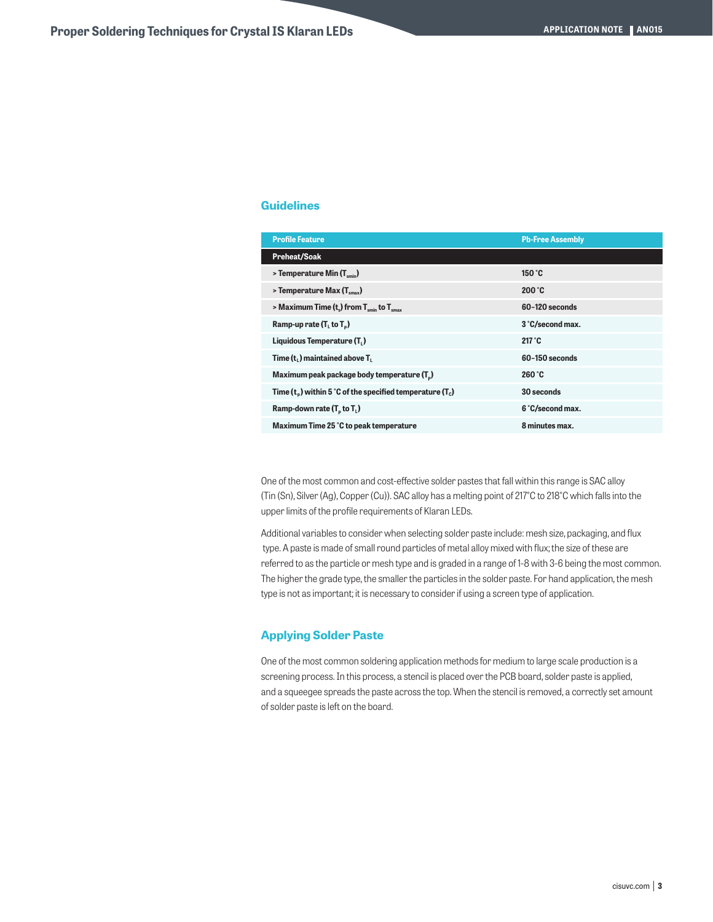### **Guidelines**

| <b>Profile Feature</b>                                            | <b>Pb-Free Assembly</b> |
|-------------------------------------------------------------------|-------------------------|
| <b>Preheat/Soak</b>                                               |                         |
| $>$ Temperature Min (T <sub>smin</sub> )                          | 150 °C                  |
| $>$ Temperature Max $(Temav)$                                     | $200\degree$ C          |
| $>$ Maximum Time (t.) from $T_{\text{emin}}$ to $T_{\text{emax}}$ | $60 - 120$ seconds      |
| Ramp-up rate $(TL$ to $Tn$ )                                      | 3 °C/second max.        |
| Liquidous Temperature (T <sub>1</sub> )                           | $217\degree$ C          |
| Time $(t_1)$ maintained above $T_1$                               | $60 - 150$ seconds      |
| Maximum peak package body temperature (T <sub>n</sub> )           | 260 °C                  |
| Time $(t_n)$ within 5 °C of the specified temperature $(T_c)$     | 30 seconds              |
| Ramp-down rate $(T_{\rm e}$ to $T_{\rm i})$                       | 6 °C/second max.        |
| Maximum Time 25 °C to peak temperature                            | 8 minutes max.          |

One of the most common and cost-effective solder pastes that fall within this range is SAC alloy (Tin (Sn), Silver (Ag), Copper (Cu)). SAC alloy has a melting point of 217°C to 218°C which falls into the upper limits of the profile requirements of Klaran LEDs.

Additional variables to consider when selecting solder paste include: mesh size, packaging, and flux type. A paste is made of small round particles of metal alloy mixed with flux; the size of these are referred to as the particle or mesh type and is graded in a range of 1-8 with 3-6 being the most common. The higher the grade type, the smaller the particles in the solder paste. For hand application, the mesh type is not as important; it is necessary to consider if using a screen type of application.

# **Applying Solder Paste**

One of the most common soldering application methods for medium to large scale production is a screening process. In this process, a stencil is placed over the PCB board, solder paste is applied, and a squeegee spreads the paste across the top. When the stencil is removed, a correctly set amount of solder paste is left on the board.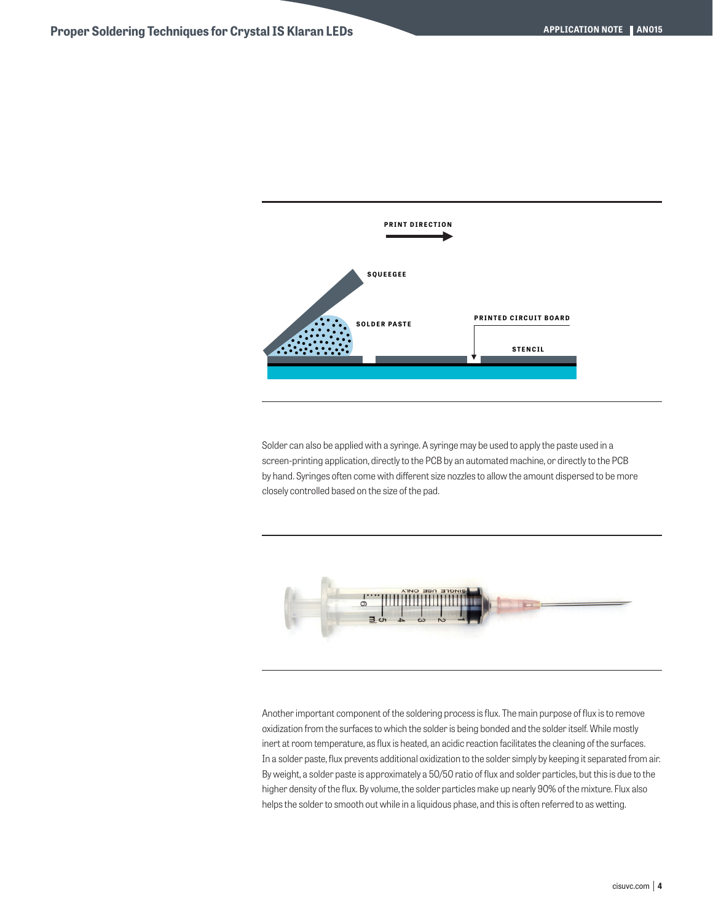

Solder can also be applied with a syringe. A syringe may be used to apply the paste used in a screen-printing application, directly to the PCB by an automated machine, or directly to the PCB by hand. Syringes often come with different size nozzles to allow the amount dispersed to be more closely controlled based on the size of the pad.



Another important component of the soldering process is flux. The main purpose of flux is to remove oxidization from the surfaces to which the solder is being bonded and the solder itself. While mostly inert at room temperature, as flux is heated, an acidic reaction facilitates the cleaning of the surfaces. In a solder paste, flux prevents additional oxidization to the solder simply by keeping it separated from air. By weight, a solder paste is approximately a 50/50 ratio of flux and solder particles, but this is due to the higher density of the flux. By volume, the solder particles make up nearly 90% of the mixture. Flux also helps the solder to smooth out while in a liquidous phase, and this is often referred to as wetting.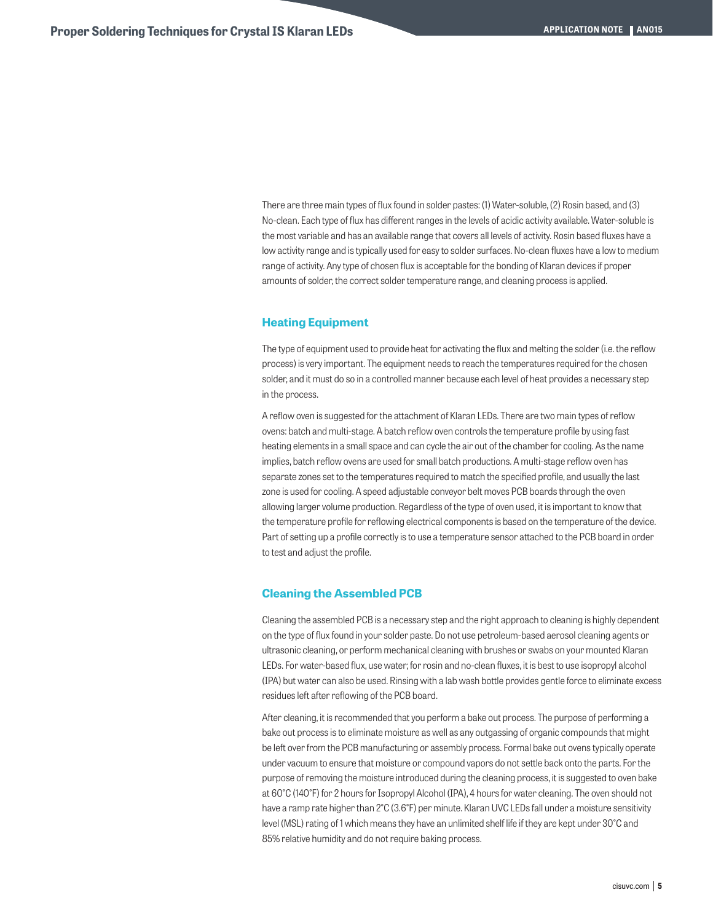There are three main types of flux found in solder pastes: (1) Water-soluble, (2) Rosin based, and (3) No-clean. Each type of flux has different ranges in the levels of acidic activity available. Water-soluble is the most variable and has an available range that covers all levels of activity. Rosin based fluxes have a low activity range and is typically used for easy to solder surfaces. No-clean fluxes have a low to medium range of activity. Any type of chosen flux is acceptable for the bonding of Klaran devices if proper amounts of solder, the correct solder temperature range, and cleaning process is applied.

#### **Heating Equipment**

The type of equipment used to provide heat for activating the flux and melting the solder (i.e. the reflow process) is very important. The equipment needs to reach the temperatures required for the chosen solder, and it must do so in a controlled manner because each level of heat provides a necessary step in the process.

A reflow oven is suggested for the attachment of Klaran LEDs. There are two main types of reflow ovens: batch and multi-stage. A batch reflow oven controls the temperature profile by using fast heating elements in a small space and can cycle the air out of the chamber for cooling. As the name implies, batch reflow ovens are used for small batch productions. A multi-stage reflow oven has separate zones set to the temperatures required to match the specified profile, and usually the last zone is used for cooling. A speed adjustable conveyor belt moves PCB boards through the oven allowing larger volume production. Regardless of the type of oven used, it is important to know that the temperature profile for reflowing electrical components is based on the temperature of the device. Part of setting up a profile correctly is to use a temperature sensor attached to the PCB board in order to test and adjust the profile.

## **Cleaning the Assembled PCB**

Cleaning the assembled PCB is a necessary step and the right approach to cleaning is highly dependent on the type of flux found in your solder paste. Do not use petroleum-based aerosol cleaning agents or ultrasonic cleaning, or perform mechanical cleaning with brushes or swabs on your mounted Klaran LEDs. For water-based flux, use water; for rosin and no-clean fluxes, it is best to use isopropyl alcohol (IPA) but water can also be used. Rinsing with a lab wash bottle provides gentle force to eliminate excess residues left after reflowing of the PCB board.

After cleaning, it is recommended that you perform a bake out process. The purpose of performing a bake out process is to eliminate moisture as well as any outgassing of organic compounds that might be left over from the PCB manufacturing or assembly process. Formal bake out ovens typically operate under vacuum to ensure that moisture or compound vapors do not settle back onto the parts. For the purpose of removing the moisture introduced during the cleaning process, it is suggested to oven bake at 60°C (140°F) for 2 hours for Isopropyl Alcohol (IPA), 4 hours for water cleaning. The oven should not have a ramp rate higher than 2°C (3.6°F) per minute. Klaran UVC LEDs fall under a moisture sensitivity level (MSL) rating of 1 which means they have an unlimited shelf life if they are kept under 30°C and 85% relative humidity and do not require baking process.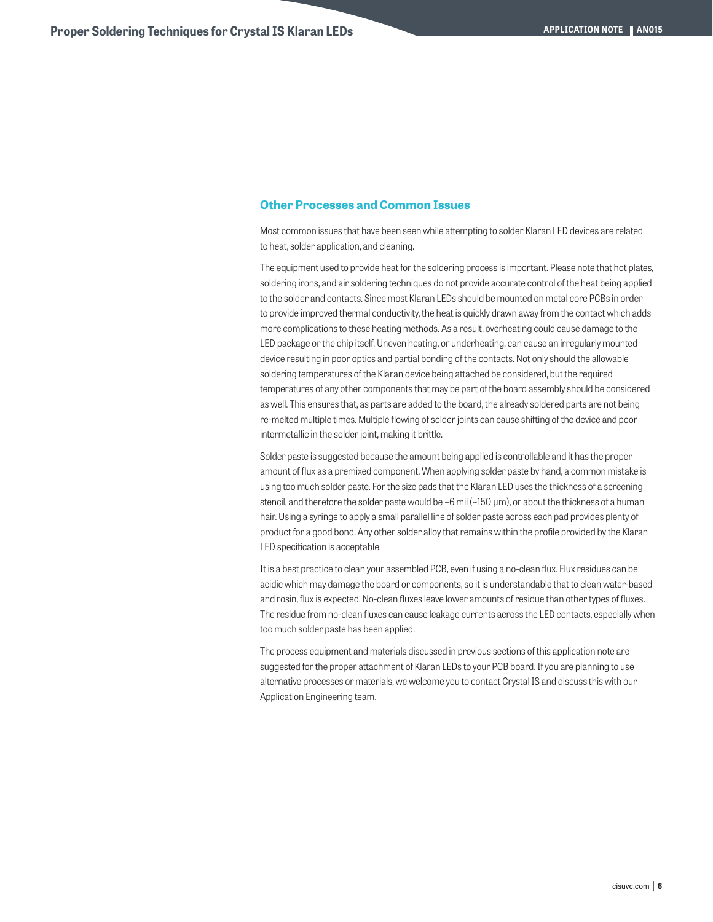# **Other Processes and Common Issues**

Most common issues that have been seen while attempting to solder Klaran LED devices are related to heat, solder application, and cleaning.

The equipment used to provide heat for the soldering process is important. Please note that hot plates, soldering irons, and air soldering techniques do not provide accurate control of the heat being applied to the solder and contacts. Since most Klaran LEDs should be mounted on metal core PCBs in order to provide improved thermal conductivity, the heat is quickly drawn away from the contact which adds more complications to these heating methods. As a result, overheating could cause damage to the LED package or the chip itself. Uneven heating, or underheating, can cause an irregularly mounted device resulting in poor optics and partial bonding of the contacts. Not only should the allowable soldering temperatures of the Klaran device being attached be considered, but the required temperatures of any other components that may be part of the board assembly should be considered as well. This ensures that, as parts are added to the board, the already soldered parts are not being re-melted multiple times. Multiple flowing of solder joints can cause shifting of the device and poor intermetallic in the solder joint, making it brittle.

Solder paste is suggested because the amount being applied is controllable and it has the proper amount of flux as a premixed component. When applying solder paste by hand, a common mistake is using too much solder paste. For the size pads that the Klaran LED uses the thickness of a screening stencil, and therefore the solder paste would be ~6 mil (~150 µm), or about the thickness of a human hair. Using a syringe to apply a small parallel line of solder paste across each pad provides plenty of product for a good bond. Any other solder alloy that remains within the profile provided by the Klaran LED specification is acceptable.

It is a best practice to clean your assembled PCB, even if using a no-clean flux. Flux residues can be acidic which may damage the board or components, so it is understandable that to clean water-based and rosin, flux is expected. No-clean fluxes leave lower amounts of residue than other types of fluxes. The residue from no-clean fluxes can cause leakage currents across the LED contacts, especially when too much solder paste has been applied.

The process equipment and materials discussed in previous sections of this application note are suggested for the proper attachment of Klaran LEDs to your PCB board. If you are planning to use alternative processes or materials, we welcome you to contact Crystal IS and discuss this with our Application Engineering team.